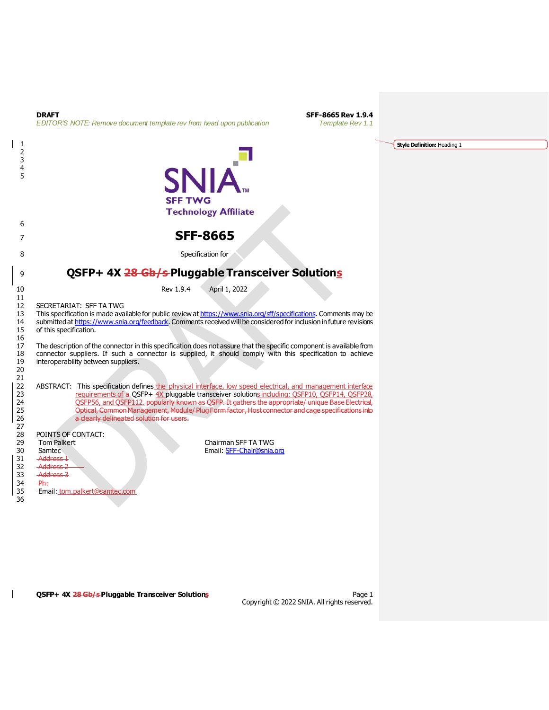|                              | Template Rev 1.1<br>EDITOR'S NOTE: Remove document template rev from head upon publication                                                                                                         |                             |
|------------------------------|----------------------------------------------------------------------------------------------------------------------------------------------------------------------------------------------------|-----------------------------|
| 1                            |                                                                                                                                                                                                    | Style Definition: Heading 1 |
| $\overline{\mathbf{c}}$<br>3 |                                                                                                                                                                                                    |                             |
| 4                            |                                                                                                                                                                                                    |                             |
| 5                            | <b>SNIA</b>                                                                                                                                                                                        |                             |
|                              | <b>SFF TWG</b>                                                                                                                                                                                     |                             |
|                              | <b>Technology Affiliate</b>                                                                                                                                                                        |                             |
| 6                            |                                                                                                                                                                                                    |                             |
| 7                            | <b>SFF-8665</b>                                                                                                                                                                                    |                             |
| 8                            | Specification for                                                                                                                                                                                  |                             |
|                              |                                                                                                                                                                                                    |                             |
| 9                            | QSFP+ 4X 28 Gb/s-Pluggable Transceiver Solutions                                                                                                                                                   |                             |
| 10                           | Rev 1.9.4<br>April 1, 2022                                                                                                                                                                         |                             |
| 11<br>12                     | SECRETARIAT: SFF TA TWG                                                                                                                                                                            |                             |
| 13                           | This specification is made available for public review at https://www.snia.org/sff/specifications. Comments may be                                                                                 |                             |
| 14<br>15                     | submitted at https://www.snia.org/feedback. Comments received will be considered for inclusion in future revisions<br>of this specification.                                                       |                             |
| 16                           | The description of the connector in this specification does not assure that the specific component is available from                                                                               |                             |
| 17<br>18                     | connector suppliers. If such a connector is supplied, it should comply with this specification to achieve                                                                                          |                             |
| 19                           | interoperability between suppliers.                                                                                                                                                                |                             |
| 20<br>21                     |                                                                                                                                                                                                    |                             |
| 22                           | ABSTRACT: This specification defines the physical interface, low speed electrical, and management interface                                                                                        |                             |
| 23<br>24                     | requirements of a OSFP+ 4X pluggable transceiver solutions including: OSFP10, OSFP14, OSFP28,<br>OSFP56, and OSFP112. popularly known as OSFP. It gathers the appropriate/ unique Base Electrical, |                             |
| 25                           | Optical, Common Management, Module/ Plug Form factor, Host connector and cage specifications into                                                                                                  |                             |
| 26<br>27                     | a clearly delineated solution for users.                                                                                                                                                           |                             |
| 28                           | POINTS OF CONTACT:                                                                                                                                                                                 |                             |
| 29<br>30                     | Chairman SFF TA TWG<br><b>Tom Palkert</b><br>Samtec<br>Email: SFF-Chair@snia.org                                                                                                                   |                             |
| 31                           | <b>Address 1</b>                                                                                                                                                                                   |                             |
| 32<br>33                     | <b>Address 2</b><br><b>Address 3</b>                                                                                                                                                               |                             |
| 34                           | $-$ Ph:                                                                                                                                                                                            |                             |
| 35                           | -Email: tom.palkert@samtec.com                                                                                                                                                                     |                             |
| 36                           |                                                                                                                                                                                                    |                             |

**DRAFT SFF-8665 Rev 1.9.4**<br>**EDITOR'S NOTE:** Permaye designed template rev from bood upon publication **SEF-8665 Rev 1.9.4** 

 $\mathbf{I}$ 

 $\overline{1}$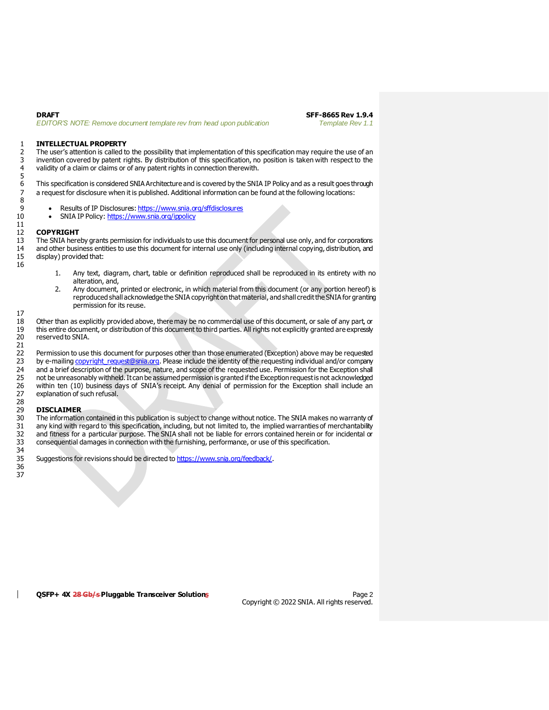#### 1 **INTELLECTUAL PROPERTY**

2 The user's attention is called to the possibility that implementation of this specification may require the use of an 3 invention covered by patent rights. By distribution of this specification, no position is taken with respect to the<br>4 validity of a claim or claims or of any patent rights in connection therewith. validity of a claim or claims or of any patent rights in connection therewith.

6 This specification is considered SNIA Architecture and is covered by the SNIA IP Policy and as a result goes through<br>7 a request for disclosure when it is published. Additional information can be found at the following l a request for disclosure when it is published. Additional information can be found at the following locations:

- 9 Results of IP Disclosures[: https://www.snia.org/sffdisclosures](https://www.snia.org/sffdisclosures)<br>10 SNIA IP Policy: https://www.snia.org/ippolicy
	- SNIA IP Policy[: https://www.snia.org/ippolicy](https://www.snia.org/ippolicy)

#### 12 **COPYRIGHT**

5

8

11

16

17

13 The SNIA hereby grants permission for individuals to use this document for personal use only, and for corporations 14 and other business entities to use this document for internal use only (including internal copying, distribution, and display) provided that:

- 1. Any text, diagram, chart, table or definition reproduced shall be reproduced in its entirety with no alteration, and,
- 2. Any document, printed or electronic, in which material from this document (or any portion hereof) is reproduced shall acknowledge the SNIA copyright on that material, and shall credit the SNIA for granting permission for its reuse.

18 Other than as explicitly provided above, there may be no commercial use of this document, or sale of any part, or<br>19 this entire document, or distribution of this document to third parties. All rights not explicitly gra 19 this entire document, or distribution of this document to third parties. All rights not explicitly granted are expressly reserved to SNIA.

21<br>22 22 Permission to use this document for purposes other than those enumerated (Exception) above may be requested<br>23 by e-mailing copyright request@snia.org. Please include the identity of the requesting individual and/or com 23 by e-mailing copyright request@snia.org. Please include the identity of the requesting individual and/or company<br>24 and a brief description of the purpose, nature, and scope of the requested use. Permission for the Exce 24 and a brief description of the purpose, nature, and scope of the requested use. Permission for the Exception shall<br>25 on the unreasonably withheld. It can be assumed permission is granted if the Exception request is not 25 not be unreasonably withheld. It can be assumed permission is granted if the Exception request is not acknowledged<br>26 within ten (10) business days of SNIA's receipt. Any denial of permission for the Exception shall inc 26 within ten (10) business days of SNIA's receipt. Any denial of permission for the Exception shall include an explanation of such refusal.

#### 29 **DISCLAIMER**

28<br>29<br>30 30 The information contained in this publication is subject to change without notice. The SNIA makes no warranty of<br>31 any kind with regard to this specification, including, but not limited to, the implied warranties of me 31 any kind with regard to this specification, including, but not limited to, the implied warranties of merchantability<br>32 and fitness for a particular purpose. The SNIA shall not be liable for errors contained herein or f 32 and fitness for a particular purpose. The SNIA shall not be liable for errors contained herein or for incidental or<br>33 consequential damages in connection with the furnishing, performance, or use of this specification. consequential damages in connection with the furnishing, performance, or use of this specification. 34

35 Suggestions for revisions should be directed t[o https://www.snia.org/feedback/](https://www.snia.org/feedback/).

36 37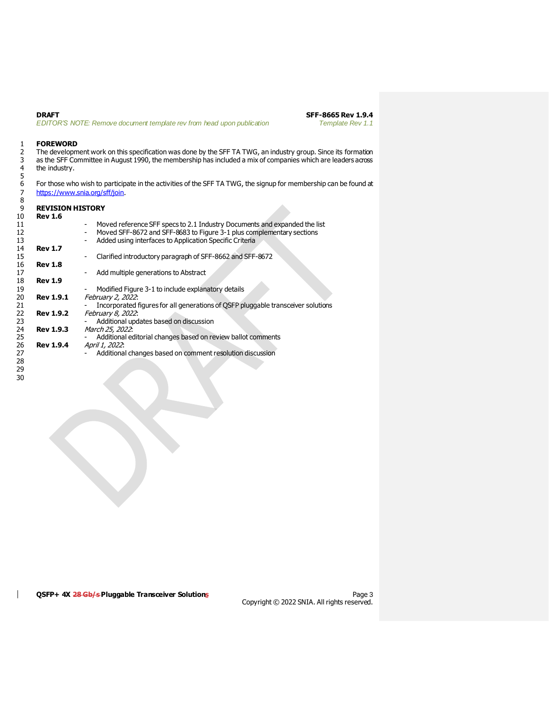**DRAFT SFF-8665 Rev 1.9.4**<br>**EDITOR'S NOTE: Remove document template rev from head upon publication SFF-8665 Rev 1.1** *EDITOR'S NOTE: Remove document template rev from head upon publication* 

# 1 **FOREWORD**<br>2 The developm

 The development work on this specification was done by the SFF TA TWG, an industry group. Since its formation as the SFF Committee in August 1990, the membership has included a mix of companies which are leaders across 3 as the SFF Co<br>4 the industry.

For those who wish to participate in the activities of the SFF TA TWG, the signup for membership can be found at <https://www.snia.org/sff/join>.

| -9 | <b>REVISION HISTORY</b> |                                                                                       |
|----|-------------------------|---------------------------------------------------------------------------------------|
| 10 | <b>Rev 1.6</b>          |                                                                                       |
| 11 |                         | Moved reference SFF specs to 2.1 Industry Documents and expanded the list             |
| 12 |                         | Moved SFF-8672 and SFF-8683 to Figure 3-1 plus complementary sections                 |
| 13 |                         | Added using interfaces to Application Specific Criteria                               |
| 14 | <b>Rev 1.7</b>          |                                                                                       |
| 15 |                         | Clarified introductory paragraph of SFF-8662 and SFF-8672<br>$\overline{\phantom{a}}$ |
| 16 | <b>Rev 1.8</b>          |                                                                                       |
| 17 |                         | Add multiple generations to Abstract                                                  |
| 18 | <b>Rev 1.9</b>          |                                                                                       |
| 19 |                         | Modified Figure 3-1 to include explanatory details                                    |
| 20 | <b>Rev 1.9.1</b>        | February 2, 2022:                                                                     |
| 21 |                         | Incorporated figures for all generations of OSFP pluggable transceiver solutions      |
| 22 | <b>Rev 1.9.2</b>        | February 8, 2022:                                                                     |
| 23 |                         | Additional updates based on discussion                                                |
| 24 | <b>Rev 1.9.3</b>        | March 25, 2022:                                                                       |
| 25 |                         | Additional editorial changes based on review ballot comments                          |
| 26 | <b>Rev 1.9.4</b>        | April 1, 2022:                                                                        |
| 27 |                         | Additional changes based on comment resolution discussion                             |
| ንՋ |                         |                                                                                       |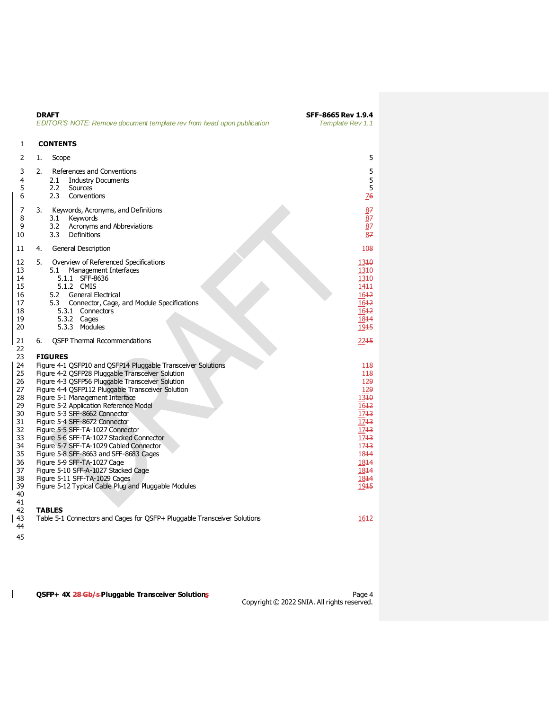|                                                                                                                            | <b>DRAFT</b><br>EDITOR'S NOTE: Remove document template rev from head upon publication                                                                                                                                                                                                                                                                                                                                                                                                                                                                                                                                                                                                                                                          | SFF-8665 Rev 1.9.4<br>Template Rev 1.1                                                                                                           |
|----------------------------------------------------------------------------------------------------------------------------|-------------------------------------------------------------------------------------------------------------------------------------------------------------------------------------------------------------------------------------------------------------------------------------------------------------------------------------------------------------------------------------------------------------------------------------------------------------------------------------------------------------------------------------------------------------------------------------------------------------------------------------------------------------------------------------------------------------------------------------------------|--------------------------------------------------------------------------------------------------------------------------------------------------|
| 1                                                                                                                          | <b>CONTENTS</b>                                                                                                                                                                                                                                                                                                                                                                                                                                                                                                                                                                                                                                                                                                                                 |                                                                                                                                                  |
| 2                                                                                                                          | Scope<br>1.                                                                                                                                                                                                                                                                                                                                                                                                                                                                                                                                                                                                                                                                                                                                     | 5                                                                                                                                                |
| 3<br>4<br>5<br>6                                                                                                           | 2.<br>References and Conventions<br>2.1<br><b>Industry Documents</b><br>2.2<br>Sources<br>2.3<br>Conventions                                                                                                                                                                                                                                                                                                                                                                                                                                                                                                                                                                                                                                    | 5<br>5<br>5<br>76                                                                                                                                |
| 7<br>8<br>9<br>10                                                                                                          | Keywords, Acronyms, and Definitions<br>3.<br>Keywords<br>3.1<br>3.2<br>Acronyms and Abbreviations<br>3.3<br>Definitions                                                                                                                                                                                                                                                                                                                                                                                                                                                                                                                                                                                                                         | 87<br>$\overline{8}$ 7<br>$\overline{8}$ 7<br>87                                                                                                 |
| 11                                                                                                                         | General Description<br>4.                                                                                                                                                                                                                                                                                                                                                                                                                                                                                                                                                                                                                                                                                                                       | 108                                                                                                                                              |
| 12<br>13<br>14<br>15<br>16<br>17<br>18<br>19<br>20                                                                         | 5.<br>Overview of Referenced Specifications<br>5.1<br>Management Interfaces<br>5.1.1 SFF-8636<br>5.1.2 CMIS<br>5.2<br>General Electrical<br>5.3<br>Connector, Cage, and Module Specifications<br>5.3.1<br>Connectors<br>Cages<br>5.3.2<br>5.3.3<br>Modules                                                                                                                                                                                                                                                                                                                                                                                                                                                                                      | 1340<br>1340<br>1340<br>1411<br>1642<br>1642<br>1612<br>1844<br>1915                                                                             |
| 21                                                                                                                         | <b>OSFP Thermal Recommendations</b><br>6.                                                                                                                                                                                                                                                                                                                                                                                                                                                                                                                                                                                                                                                                                                       | 2245                                                                                                                                             |
| 22<br>23<br>24<br>25<br>26<br>27<br>28<br>29<br>30<br>31<br>32<br>33<br>34<br>35<br>36<br>37<br>38<br>39<br>40<br>41<br>42 | <b>FIGURES</b><br>Figure 4-1 QSFP10 and QSFP14 Pluggable Transceiver Solutions<br>Figure 4-2 QSFP28 Pluggable Transceiver Solution<br>Figure 4-3 QSFP56 Pluggable Transceiver Solution<br>Figure 4-4 QSFP112 Pluggable Transceiver Solution<br>Figure 5-1 Management Interface<br>Figure 5-2 Application Reference Model<br>Figure 5-3 SFF-8662 Connector<br>Figure 5-4 SFF-8672 Connector<br>Figure 5-5 SFF-TA-1027 Connector<br>Figure 5-6 SFF-TA-1027 Stacked Connector<br>Figure 5-7 SFF-TA-1029 Cabled Connector<br>Figure 5-8 SFF-8663 and SFF-8683 Cages<br>Figure 5-9 SFF-TA-1027 Cage<br>Figure 5-10 SFF-A-1027 Stacked Cage<br>Figure 5-11 SFF-TA-1029 Cages<br>Figure 5-12 Typical Cable Plug and Pluggable Modules<br><b>TABLES</b> | 118<br>118<br>129<br>129<br>1340<br>1642<br>1743<br>1743<br>1743<br>17 <sup>13</sup><br>17 <sup>43</sup><br>1844<br>1844<br>1844<br>1844<br>1945 |
| 43<br>44                                                                                                                   | Table 5-1 Connectors and Cages for QSFP+ Pluggable Transceiver Solutions                                                                                                                                                                                                                                                                                                                                                                                                                                                                                                                                                                                                                                                                        | 1612                                                                                                                                             |

 $\mathbf{I}$ 

QSFP+ 4X 28 Gb/s Pluggable Transceiver Solutions

Page 4<br>Copyright © 2022 SNIA. All rights reserved.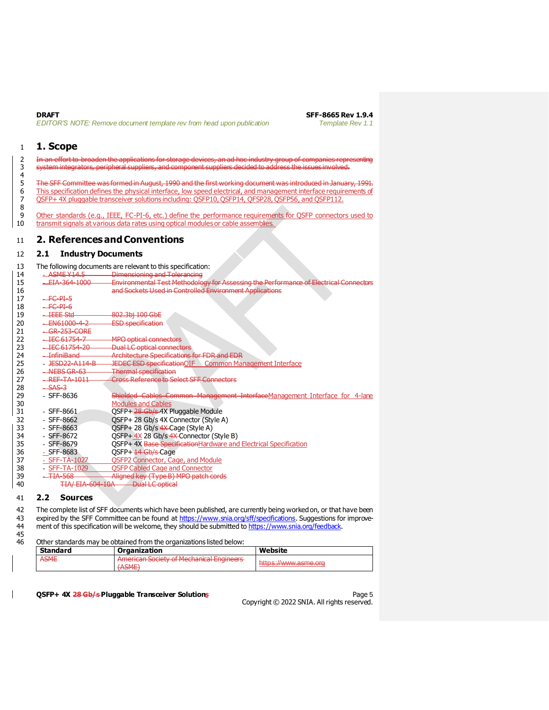4

### <span id="page-4-0"></span>1 **1. Scope**

2 In an effort to broaden the applications for storage devices, an ad hoc industry group of companies representing 3 system integrators, peripheral suppliers, and component suppliers decided to address the issues involved.

5 The SFF Committee was formed in August, 1990 and the first working document was introduced in January, 1991.<br>6 This specification defines the physical interface, low speed electrical, and management interface requirement 6 This specification defines the physical interface, low speed electrical, and management interface requirements of <br>6 OSEP+4X pluggable transceiver solutions including: OSEP10, OSEP14, OESP28, OSEP56, and OSEP112. 7 QSFP+ 4X pluggable transceiver solutions including: QSFP10, QSFP14, QFSP28, QSFP56, and QSFP112.

 $\begin{array}{c} 8 \\ 9 \end{array}$ 9 Other standards (e.g., IEEE, FC-PI-6, etc.) define the performance requirements for QSFP connectors used to transmit signals at various data rates using optical modules or cable assemblies. transmit signals at various data rates using optical modules or cable assemblies.

### <span id="page-4-1"></span>11 **2. References and Conventions**

### <span id="page-4-2"></span>12 **2.1 Industry Documents**

13 The following documents are relevant to this specification:

| 14             | ASME Y14.5                              | <b>Dimensioning and Tolerancing</b>                                                   |
|----------------|-----------------------------------------|---------------------------------------------------------------------------------------|
| 15             | EIA-364-1000                            | Environmental Test Methodology for Assessing the Performance of Electrical Connectors |
| 16             |                                         | and Sockets Used in Controlled Environment Applications                               |
| 17             | FC-PI-5                                 |                                                                                       |
| 18             | FC-PI-6                                 |                                                                                       |
| 19             | <del>IEEE Std</del>                     | 802.3bj 100 GbE                                                                       |
| 20             | EN61000-4-2                             | <b>ESD</b> specification                                                              |
| 21             | GR-253-CORE                             |                                                                                       |
| 22             | IEC 61754-7                             | <b>MPO optical connectors</b>                                                         |
| 23             | IEC 61754-20                            | <b>Dual LC optical connectors</b>                                                     |
| 24             | <u>InfiniRand</u><br><del>mmmoand</del> | <b>Architecture Specifications for FDR and EDR</b>                                    |
| 25             | JESD22-A114-B                           | <b>JEDEC ESD specificationOIF</b><br><b>Common Management Interface</b>               |
| 26             | <del>NEBS GR-63</del>                   | <b>Thermal specification</b>                                                          |
| 27             | REF-TA-1011                             | Cross Reference to Select SFF Connectors                                              |
| 28             | SAS-3                                   |                                                                                       |
| 29             | $-$ SFF-8636                            | Shielded Cables Common Management InterfaceManagement Interface for 4-lane            |
| 30             |                                         | <b>Modules and Cables</b>                                                             |
| 31             | $-$ SFF-8661                            | OSFP+ 28 Gb/s 4X Pluggable Module                                                     |
| 32             | SFF-8662                                | OSFP+ 28 Gb/s 4X Connector (Style A)                                                  |
| 33             | $-$ SFF-8663                            | QSFP+28 Gb/s 4X-Cage (Style A)                                                        |
| 34             | SFF-8672                                | QSFP+ 4X 28 Gb/s 4X Connector (Style B)                                               |
| 35             | SFF-8679                                | QSFP+ 4X Base Specification Hardware and Electrical Specification                     |
| 36             | $-$ SFF-8683                            | QSFP+ 14 Gb/s Cage                                                                    |
| 37             | - SFF-TA-1027                           | OSFP2 Connector, Cage, and Module                                                     |
| 38             | <b>SFF-TA-1029</b>                      | <b>OSFP Cabled Cage and Connector</b>                                                 |
| 39             | <b>TIA-568</b>                          | Aligned key (Type B) MPO patch cords                                                  |
| 40             | <b>TIA/EIA-604-10A</b>                  | <b>Dual LC optical</b>                                                                |
| $\overline{a}$ |                                         |                                                                                       |

#### <span id="page-4-3"></span>41 **2.2 Sources**

42 The complete list of SFF documents which have been published, are currently being worked on, or that have been 43 expired by the SFF Committee can be found at <https://www.snia.org/sff/specifications>. Suggestions for improve44 ment of this specification will be welcome, they should be submitted to <https://www.snia.org/feedback>.

Other standards may be obtained from the organizations listed below:

| <b>Standard</b> | <b>Organization</b>                                                                                                            | Website                        |
|-----------------|--------------------------------------------------------------------------------------------------------------------------------|--------------------------------|
| <b>ASME</b>     | American Society of Mochanical Engineers<br><del>Amencan society or meenanical Engineers</del><br>΄ Λ ϚΜΕ΄<br><del>warne</del> | <del>nuvo.  mmutaon oluu</del> |

#### **QSFP+ 4X 28 Gb/s Pluggable Transceiver Solutions** Page 5

<sup>45&</sup>lt;br>46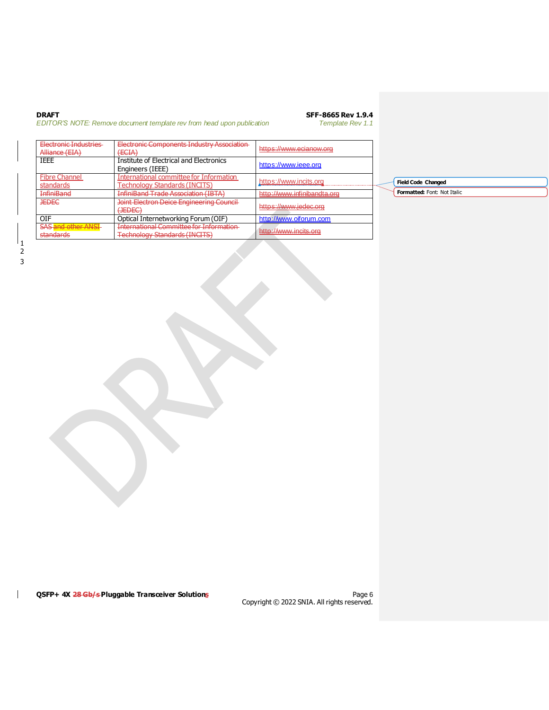| DRAFT                                                                |  |  |  |  |
|----------------------------------------------------------------------|--|--|--|--|
| EDITOR'S NOTE: Remove document template rev from head upon publicate |  |  |  |  |

# **DRAFF-8665 Rev 1.9.4**<br>Template Rev 1.1

*EDITOR'S NOTE: Remove document template rev from head upon publication Template Rev 1.1*

| Electronic Industries<br>Alliance (EIA)                 | Electronic Components Industry Association<br>(TCTAY)<br><del>cent</del>               | https://www.ecianow.org     |
|---------------------------------------------------------|----------------------------------------------------------------------------------------|-----------------------------|
| IEEE                                                    | <b>Institute of Electrical and Electronics</b><br>Engineers (IEEE)                     | https://www.ieee.org        |
| <b>Fibre Channel</b><br>standards                       | International committee for Information<br><b>Technology Standards (INCITS)</b>        | https://www.incits.org      |
| InfiniBand                                              | <b>InfiniBand Trade Association (IBTA)</b>                                             | http://www.infinibandta.org |
| <b>JEDEC</b>                                            | <b>Joint Electron Deice Engineering Council</b><br>$(1$ ENE $\cap$<br><del>JEDEC</del> | https://www.jedec.org       |
| OIF                                                     | Optical Internetworking Forum (OIF)                                                    | http://www.oiforum.com      |
| <b>SAS and other ANSI</b><br>ctandarde<br>stoi identite | International Committee for Information<br><b>Technology Standards (INCITS)</b>        | http://www.incits.org       |

**Field Code Changed Formatted:** Font: Not Italic

 $\mathsf{I}$ 

QSFP+ 4X 28 Gb/s Pluggable Transceiver Solutions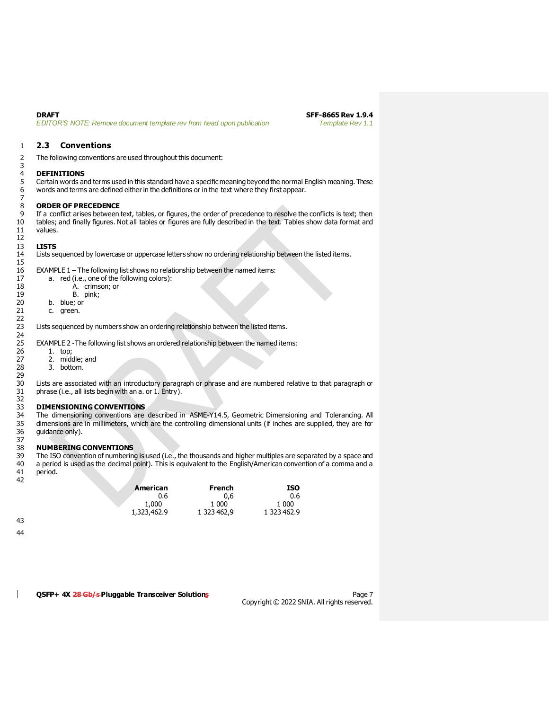$\frac{3}{4}$ 

 $7\over 8$ 

12<br>13

 $\frac{15}{16}$ 

22

29<br>30

**DRAFT SFF-8665 Rev 1.9.4**<br>**EDITOR'S NOTE: Remove document template rev from head upon publication <b>SFF-8665 Rev 1.1** *EDITOR'S NOTE: Remove document template rev from head upon publication* 

#### <span id="page-6-0"></span>1 **2.3 Conventions**

2 The following conventions are used throughout this document:

# 4 **DEFINITIONS**

5 Certain words and terms used in this standard have a specific meaning beyond the normal English meaning. These 6 words and terms are defined either in the definitions or in the text where they first appear.

# 8 **ORDER OF PRECEDENCE**<br>9 If a conflict arises between

9 If a conflict arises between text, tables, or figures, the order of precedence to resolve the conflicts is text; then tables; and finally figures. Not all tables or figures are fully described in the text. Tables show da tables; and finally figures. Not all tables or figures are fully described in the text. Tables show data format and 11 values.

#### 13 **LISTS**

14 Lists sequenced by lowercase or uppercase letters show no ordering relationship between the listed items.

EXAMPLE  $1$  – The following list shows no relationship between the named items:

| 17 | a. red (i.e., one of the following colors): |  |
|----|---------------------------------------------|--|
| 18 | A. crimson; or                              |  |

| $\pm I$ |  | $a_{1}$ requirely vire viewe |
|---------|--|------------------------------|
| 18      |  | A. crimson; or               |
| 19      |  | B. pink;                     |

- 
- 20 b. blue; or<br>21 c. green. c. green.
	-

Lists sequenced by numbers show an ordering relationship between the listed items.

EXAMPLE 2 -The following list shows an ordered relationship between the named items:

- 24<br>25<br>26
- 26 1. top;<br>27 2. mido
- 27 2. middle; and<br>28 3. bottom. 3. bottom.

30 Lists are associated with an introductory paragraph or phrase and are numbered relative to that paragraph or phrase (i.e., all lists begin with an a. or 1. Entry).

#### 33 **DIMENSIONING CONVENTIONS**

32<br>33<br>34 34 The dimensioning conventions are described in ASME-Y14.5, Geometric Dimensioning and Tolerancing. All<br>35 dimensions are in millimeters, which are the controlling dimensional units (if inches are supplied, they are for 35 dimensions are in millimeters, which are the controlling dimensional units (if inches are supplied, they are for guidance only).

#### 37<br>38 38 **NUMBERING CONVENTIONS**

39 The ISO convention of numbering is used (i.e., the thousands and higher multiples are separated by a space and<br>40 a period is used as the decimal point). This is equivalent to the English/American convention of a comma a period is used as the decimal point). This is equivalent to the English/American convention of a comma and a 41 period. 42

| American    | French      | ISO         |
|-------------|-------------|-------------|
| 0.6         | 0.6         | 0.6         |
| 1,000       | 1.000       | 1 000       |
| 1,323,462.9 | 1 323 462.9 | 1 323 462.9 |

43

44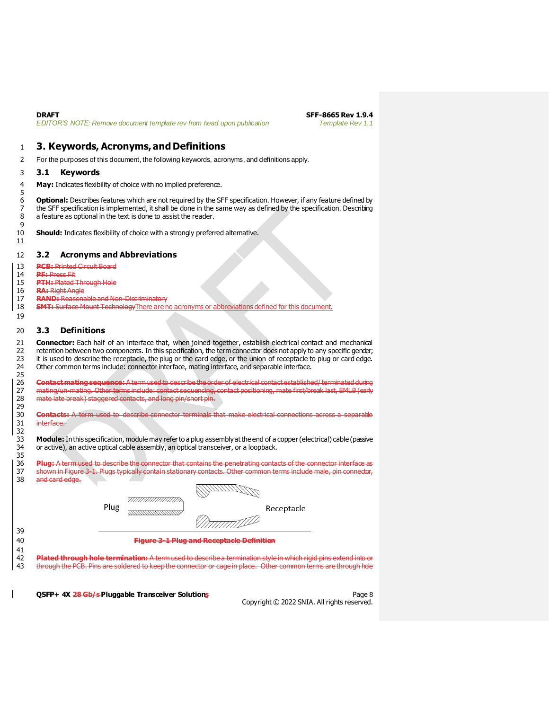<span id="page-7-1"></span><span id="page-7-0"></span>

| <b>DRAFT</b><br>EDITOR'S NOTE: Remove document template rev from head upon publication                                                                                                                                                                                                                           | SFF-8665 Rev 1.9.4<br><b>Template Rev 1.1</b>         |
|------------------------------------------------------------------------------------------------------------------------------------------------------------------------------------------------------------------------------------------------------------------------------------------------------------------|-------------------------------------------------------|
| 3. Keywords, Acronyms, and Definitions                                                                                                                                                                                                                                                                           |                                                       |
|                                                                                                                                                                                                                                                                                                                  |                                                       |
| For the purposes of this document, the following keywords, acronyms, and definitions apply.                                                                                                                                                                                                                      |                                                       |
| <b>Keywords</b><br>3.1                                                                                                                                                                                                                                                                                           |                                                       |
| May: Indicates flexibility of choice with no implied preference.                                                                                                                                                                                                                                                 |                                                       |
| <b>Optional:</b> Describes features which are not required by the SFF specification. However, if any feature defined by<br>the SFF specification is implemented, it shall be done in the same way as defined by the specification. Describing<br>a feature as optional in the text is done to assist the reader. |                                                       |
| <b>Should:</b> Indicates flexibility of choice with a strongly preferred alternative.                                                                                                                                                                                                                            |                                                       |
| 3.2<br><b>Acronyms and Abbreviations</b>                                                                                                                                                                                                                                                                         |                                                       |
| <b>PCB: Printed Circuit Board</b>                                                                                                                                                                                                                                                                                |                                                       |
| <b>PF:</b> Press Fit                                                                                                                                                                                                                                                                                             |                                                       |
| <b>PTH: Plated Through Hole</b>                                                                                                                                                                                                                                                                                  |                                                       |
| <b>RA:</b> Right Angle<br><b>RAND:</b> Reasonable and Non-Discriminatory                                                                                                                                                                                                                                         |                                                       |
| <b>SMT:</b> Surface Mount Technology There are no acronyms or abbreviations defined for this document.                                                                                                                                                                                                           |                                                       |
|                                                                                                                                                                                                                                                                                                                  |                                                       |
| <b>Definitions</b><br>3.3                                                                                                                                                                                                                                                                                        |                                                       |
| Other common terms include: connector interface, mating interface, and separable interface.<br>Contact mating sequence: A term used to describe the order of electrical contact established/terminated during                                                                                                    |                                                       |
| mating/un-mating. Other terms include: contact sequencing, contact positioning, mate first/break last, EMLB (carly                                                                                                                                                                                               |                                                       |
| mate late break) staggered contacts, and long pin/short pin.                                                                                                                                                                                                                                                     |                                                       |
|                                                                                                                                                                                                                                                                                                                  |                                                       |
| <b>Contacts:</b> A term used to describe connector terminals that make electrical connections across a separable<br>interface.                                                                                                                                                                                   |                                                       |
|                                                                                                                                                                                                                                                                                                                  |                                                       |
| <b>Module:</b> In this specification, module may refer to a plug assembly at the end of a copper (electrical) cable (passive<br>or active), an active optical cable assembly, an optical transceiver, or a loopback.                                                                                             |                                                       |
| Plug: A term used to describe the connector that contains the penetrating contacts of the connector interface as                                                                                                                                                                                                 |                                                       |
| shown in Figure 3-1. Plugs typically contain stationary contacts. Other common terms include male, pin connector,                                                                                                                                                                                                |                                                       |
| and card edge.                                                                                                                                                                                                                                                                                                   |                                                       |
|                                                                                                                                                                                                                                                                                                                  |                                                       |
| ,,,,,,,,,,,,,,,,                                                                                                                                                                                                                                                                                                 |                                                       |
| Plug<br>Receptacle<br>833333333333333333333                                                                                                                                                                                                                                                                      |                                                       |
| <u>TIIT</u> IND                                                                                                                                                                                                                                                                                                  |                                                       |
|                                                                                                                                                                                                                                                                                                                  |                                                       |
| <b>Figure 3-1 Plug and Receptacle Definition</b>                                                                                                                                                                                                                                                                 |                                                       |
| Plated through hole termination: A term used to describe a termination style in which rigid pins extend into or                                                                                                                                                                                                  |                                                       |
| through the PCB. Pins are soldered to keep the connector or cage in place. Other common terms are through hole                                                                                                                                                                                                   |                                                       |
|                                                                                                                                                                                                                                                                                                                  |                                                       |
|                                                                                                                                                                                                                                                                                                                  |                                                       |
| QSFP+ 4X 28 Gb/s Pluggable Transceiver Solutions                                                                                                                                                                                                                                                                 | Page 8<br>Copyright © 2022 SNIA. All rights reserved. |

<span id="page-7-3"></span><span id="page-7-2"></span> **3.3 Definitions**

<span id="page-7-4"></span>

 $\begin{array}{c} \n \stackrel{\cdot}{\phantom{}_{41}}\n 41 \\
42 \\
43\n \end{array}$ 

 $\overline{\phantom{a}}$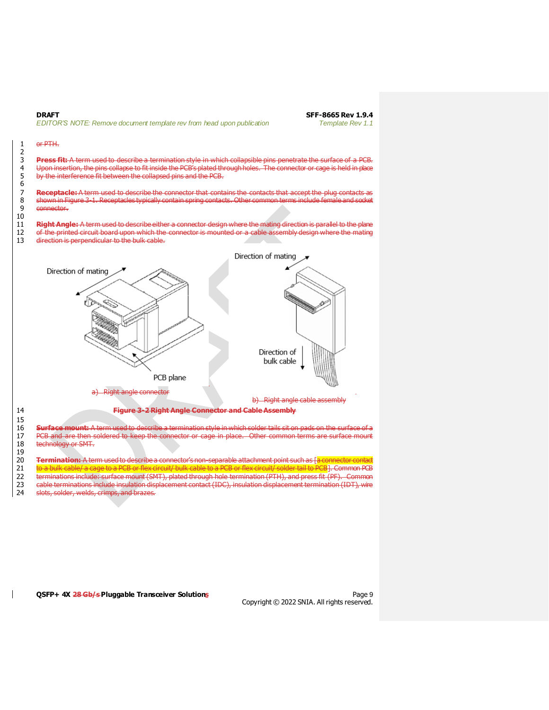

#### **QSFP+ 4X 28 Gb/s Pluggable Transceiver Solutions** Page 9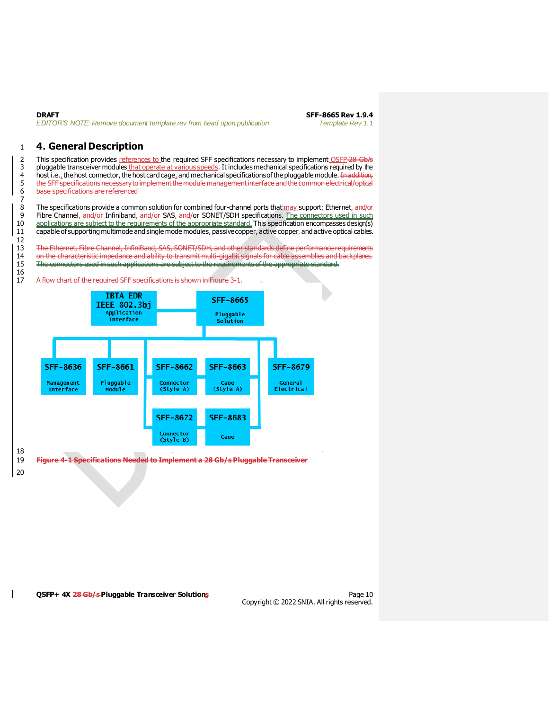| DRAFT |                                                                        |  |  |
|-------|------------------------------------------------------------------------|--|--|
|       | EDITOR'S NOTE: Remove document template rev from head upon publication |  |  |

### <span id="page-9-0"></span>1 **4. General Description**

2 This specification provides references to the required SFF specifications necessary to implement OSFP-28-Gb/s 3 pluggable transceiver modules that operate at various speeds. It includes mechanical specifications required by the 4 host i.e., the host connector, the host card cage, and mechanical specifications of the pluggable module. In addition, 5 the SFF specifications necessary to implement the module management interface and the common electrical/optical<br>6 base specifications are referenced base specifications are referenced

8 The specifications provide a common solution for combined four-channel ports that may support: Ethernet, and/or<br>9 Fibre Channel, and/or Infiniband, and/or-SAS, and/or SONET/SDH specifications. The connectors used in such 9 Fibre Channel, and/or Infiniband, and/or SAS, and/or SONET/SDH specifications. The connectors used in such<br>10 applications are subject to the requirements of the appropriate standard. This specification encompasses desig applications are subject to the requirements of the appropriate standard. This specification encompasses design(s) 11 capable of supporting multimode and single mode modules, passive copper, active copper, and active optical cables.

13 The Ethernet, Fibre Channel, InfiniBand, SAS, SONET/SDH, and other standards define performance requirements on the characteristic impedance and ability to transmit multi-gigabit signals for cable assemblies and backplanes. 15 The connectors used in such applications are subject to the requirements of the appropriate standard.

A flow chart of the required SFF specifications is shown in Figure 3-1.



20

 $7\atop 8$ 

12

 $\frac{16}{17}$ 

**QSFP+ 4X 28 Gb/s Pluggable Transceiver Solutions** Page 10 Page 10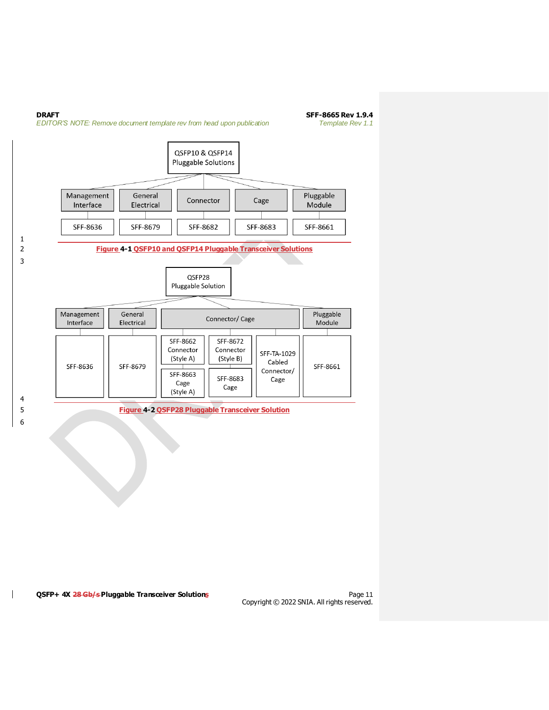<span id="page-10-0"></span>![](_page_10_Figure_0.jpeg)

<span id="page-10-1"></span>**QSFP+ 4X 28 Gb/s Pluggable Transceiver Solutions** Page 11

 $\mathsf{l}$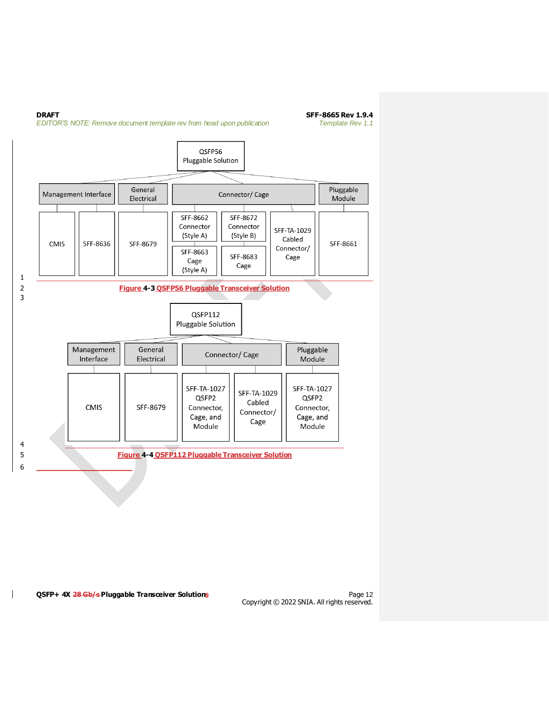<span id="page-11-0"></span>![](_page_11_Figure_0.jpeg)

#### <span id="page-11-1"></span>**QSFP+ 4X 28 Gb/s Pluggable Transceiver Solutions** Page 12 Assets and Page 12

 $\mathbf{I}$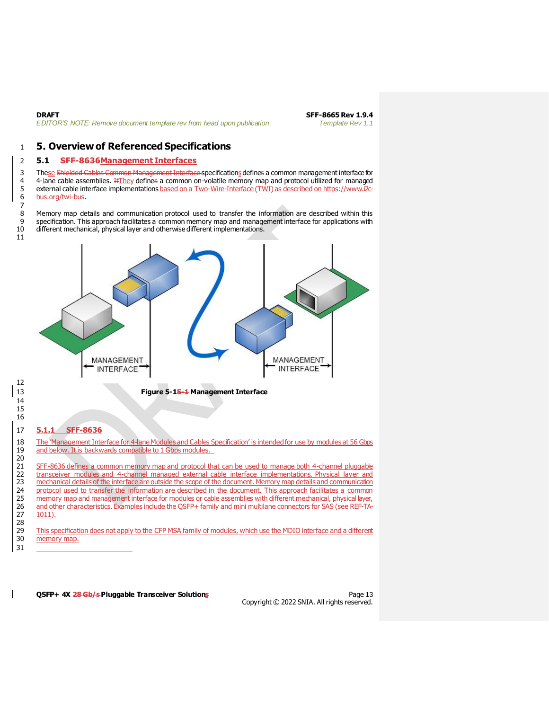**DRAFT SFF-8665 Rev 1.9.4**<br>**EDITOR'S NOTE: Remove document template rev from head upon publication <b>SFF-8665 Rev 1.1** *EDITOR'S NOTE: Remove document template rev from head upon publication* 

## <span id="page-12-0"></span>1 **5. Overview of Referenced Specifications**

### <span id="page-12-1"></span>2 **5.1 SFF-8636Management Interfaces**

3 These Shielded Cables Common Management Interface specifications defines a common management interface for 4  $-$  4-lane cable assemblies.  $\frac{1}{1}$   $\frac{1}{1}$   $\frac{1}{1}$   $\frac{1}{1}$   $\frac{1}{1}$   $\frac{1}{1}$   $\frac{1}{1}$   $\frac{1}{1}$   $\frac{1}{1}$   $\frac{1}{1}$   $\frac{1}{1}$   $\frac{1}{1}$   $\frac{1}{1}$   $\frac{1}{1}$   $\frac{1}{1}$   $\frac{1}{1}$   $\frac{1}{1}$   $\frac{1}{1}$   $\frac{1}{1}$  5 external cable interface implementations based on a Two-Wire-Interface (TWI) as described on https://www.i2c-<br>6 bus.org/twi-bus. [bus.org/twi-bus](https://www.i2c-bus.org/twi-bus).

8 Memory map details and communication protocol used to transfer the information are described within this<br>9 specification This annopach facilitates a common memory man and management interface for applications with specification. This approach facilitates a common memory map and management interface for applications with 10 different mechanical, physical layer and otherwise different implementations.

![](_page_12_Figure_6.jpeg)

24 protocol used to transfer the information are described in the document. This approach facilitates a common<br>25 memory map and management interface for modules or cable assemblies with different medianical, physical laye 25 memory map and management interface for modules or cable assemblies with different medhanical, physical layer,<br>26 and other characteristics. Examples include the OSFP+ family and mini multilane connectors for SAS (see R 26 and other characteristics. Examples include the QSFP+ family and mini multilane connectors for SAS (see REF-TA-<br>27 1011). 1011).

28 This specification does not apply to the CFP MSA family of modules, which use the MDIO interface and a different 30 memory map. 31

**QSFP+ 4X 28 Gb/s Pluggable Transceiver Solutions Page 13** Page 13

Copyright © 2022 SNIA. All rights reserved.

7

11

<span id="page-12-3"></span>12

<span id="page-12-2"></span>14 15 16

20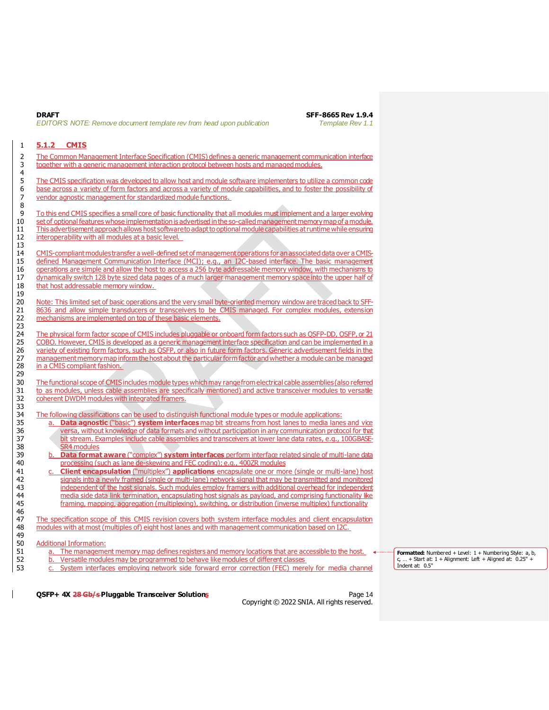**DRAFT SFF-8665 Rev 1.9.4** *EDITOR'S NOTE: Remove document template rev from head upon publication Template Rev 1.1*

### <span id="page-13-0"></span>1 **5.1.2 CMIS**

4

2 The Common Management Interface Specification (CMIS) defines a generic management communication interface 3 together with a generic management interaction protocol between hosts and managed modules.

5 The CMIS specification was developed to allow host and module software implementers to utilize a common code 6 base across a variety of form factors and across a variety of module capabilities, and to foster the possibility of 7 vendor agnostic management for standardized module functions. 7 vendor agnostic management for standardized module functions.

To this end CMIS specifies a small core of basic functionality that all modules must implement and a larger evolving 10 set of optional features whose implementation is advertised in the so-called management memory map of a module. 11 This advertisement approach allows host software to adapt to optional module capabilities at runtime while ensuring 12 interoperability with all modules at a basic level.

14 CMIS-compliant modules transfer a well-defined set of management operations for anassociated data over a CMIS-15 defined Management Communication Interface (MCI); e.g., an I2C-based interface. The basic management 16 operations are simple and allow the host to access a 256 byte addressable memory window, with mechanisms to<br>17 dynamically switch 128 byte sized data pages of a much larger management memory space into the upper half of dynamically switch 128 byte sized data pages of a much larger management memory space into the upper half of 18 that host addressable memory window.

20 Note: This limited set of basic operations and the very small byte-oriented memory window are traced back to SFF-21 8636 and allow simple transducers or transceivers to be CMIS managed. For complex modules, extension 22 mechanisms are implemented on top of these basic elements.

The physical form factor scope of CMIS includes pluggable or onboard form factors such as QSFP-DD, OSFP, or 21 25 COBO. However, CMIS is developed as a generic management interface specification and can be implemented in a<br>26 variety of existing form factors, such as OSFP, or also in future form factors. Generic advertisement field 26 variety of existing form factors, such as QSFP, or also in future form factors. Generic advertisement fields in the<br>27 management memory map inform the host about the particular form factor and whether a module can be m 27 management memory map inform the host about the particular form factor and whether a module can be managed<br>28 in a CMIS compliant fashion. in a CMIS compliant fashion.

30 The functional scope of CMIS includes module types which may range from electrical cable assemblies (also referred 31 to as modules, unless cable assemblies are specifically mentioned) and active transceiver modules to versatile<br>32 coherent DWDM modules with integrated framers. coherent DWDM modules with integrated framers.

The following classifications can be used to distinguish functional module types or module applications:

- 35 a. **Data agnostic** ("basic") **system interfaces** map bit streams from host lanes to media lanes and vice 36 versa, without knowledge of data formats and without participation in any communication protocol for that bit stream. Examples include cable assemblies and transceivers at lower lane data rates, e.g., 100GBASE-
- 38 SR4 modules<br>39 b. **Data forma** 39 b. **Data format aware** ("complex") **system interfaces** perform interface related single of multi-lane data processing (such as lane de-skewing and FEC coding); e.g., 400ZR modules
- 41 c. **Client encapsulation** ("multiplex") **applications** encapsulate one or more (single or multi-lane) host 42 signals into a newly framed (single or multi-lane) network signal that may be transmitted and monitored<br>43 independent of the host signals. Such modules employ framers with additional overhead for independent independent of the host signals. Such modules employ framers with additional overhead for independent 44 media side data link termination, encapsulating host signals as payload, and comprising functionality like 45 framing, mapping, aggregation (multiplexing), switching, or distribution (inverse multiplex) functionality

47 The specification scope of this CMIS revision covers both system interface modules and client encapsulation<br>48 modules with at most (multiples of) eight bost lanes and with management communication based on I2C modules with at most (multiples of) eight host lanes and with management communication based on I2C.

50 Additional Information:<br>51 a. The manageme a. The management memory map defines registers and memory locations that are accessible to the host.

52 b. Versatile modules may be programmed to behave like modules of different classes

53 c. System interfaces employing network side forward error correction (FEC) merely for media channel

**Formatted:** Numbered + Level: 1 + Numbering Style: a, b,  $\dots$  + Start at:  $1 +$  Alignment: Left + Aligned at:  $0.25"$  -Indent at: 0.5"

**QSFP+ 4X 28 Gb/s Pluggable Transceiver Solutions** Part And Page 14

Copyright © 2022 SNIA. All rights reserved.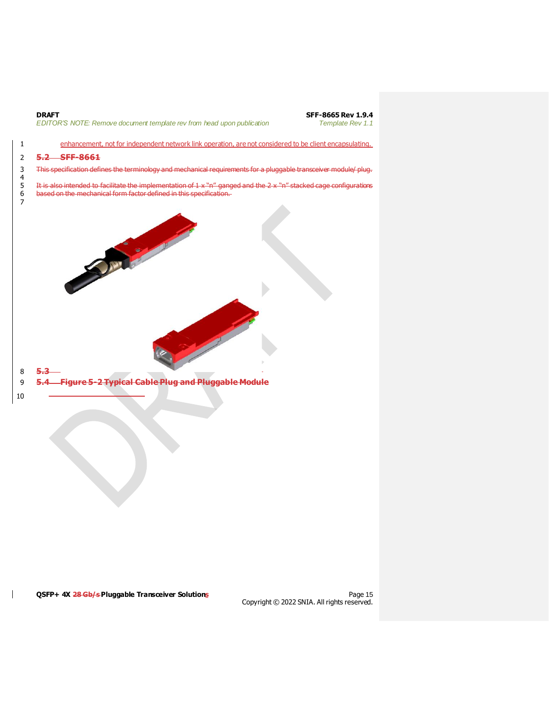![](_page_14_Figure_0.jpeg)

**QSFP+ 4X 28 Gb/s Pluggable Transceiver Solutions Page 15 Page 15** 

 $\mathsf{l}$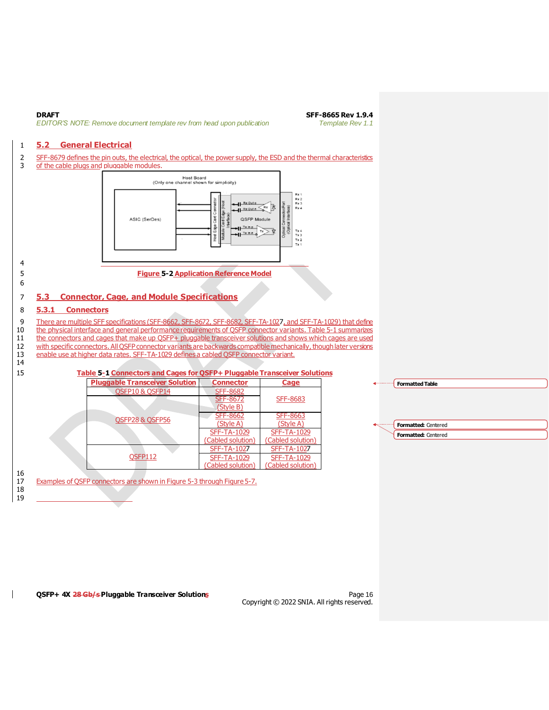**DRAFT SFF-8665 Rev 1.9.4**<br>**EDITOR'S NOTE: Remove document template rev from head upon publication SFF-8665 Rev 1.1** *EDITOR'S NOTE: Remove document template rev from head upon publication* 

#### <span id="page-15-0"></span>1 **5.2 General Electrical**

- 2 SFF-8679 defines the pin outs, the electrical, the optical, the power supply, the ESD and the thermal characteristics<br>3 of the cable plugs and pluggable modules.
	- of the cable plugs and pluggable modules.

.<br>Host Board<br>annel shown for simplicity) (Only one ch Rx 1<br>Rx 2<br>Rx 3<br>Rx 4  $H<sup>Rx</sup>$  Outo  $\frac{1}{\sqrt{2}}$ 晨 ASIC (SerDes) QSFP Module  $H^{\frac{7x\ln p}{2}}$  $\frac{1}{\sqrt{1-x} + 1}$ Tx 4<br>Tx 3<br>Tx 2<br>Tx 1

#### <span id="page-15-3"></span>4 5 **Figure 5-2 Application Reference Model** 6

14

16

18 19

### <span id="page-15-1"></span>7 **5.3 Connector, Cage, and Module Specifications**

#### <span id="page-15-2"></span>8 **5.3.1 Connectors**

9 There are multiple SFF specifications (SFF-8662, SFF-8662, SFF-8682, SFF-TA-1027, and SFF-TA-1029) that define<br>10 the physical interface and general performance reguirements of OSFP connector variants. Table 5-1 summariz the physical interface and general performance requirements of OSFP connector variants[. Table 5-1](#page-15-4) summarizes

- 11 the connectors and cages that make up QSFP+ pluggable transceiver solutions and shows which cages are used<br>12 with specific connectors. All OSFP connector variants are backwards compatible mechanically, though later ver with specific connectors. All QSFP connector variants are backwards compatible mechanically, though later versions
- 13 enable use at higher data rates. SFF-TA-1029 defines a cabled QSFP connector variant.

#### <span id="page-15-4"></span>15 **Table 5-1 Connectors and Cages for QSFP+ Pluggable Transceiver Solutions**

|  | <b>Pluggable Transceiver Solution</b> | <b>Connector</b>   | <b>Cage</b>        |
|--|---------------------------------------|--------------------|--------------------|
|  | QSFP10 & QSFP14                       | <b>SFF-8682</b>    |                    |
|  |                                       | <b>SFF-8672</b>    | SFF-8683           |
|  |                                       | (Style B)          |                    |
|  | QSFP28 & QSFP56                       | <b>SFF-8662</b>    | SFF-8663           |
|  |                                       | (Style A)          | (Style A)          |
|  |                                       | <b>SFF-TA-1029</b> | <b>SFF-TA-1029</b> |
|  |                                       | (Cabled solution)  | (Cabled solution)  |
|  | OSFP112                               | <b>SFF-TA-1027</b> | <b>SFF-TA-1027</b> |
|  |                                       | <b>SFF-TA-1029</b> | <b>SFF-TA-1029</b> |
|  |                                       | (Cabled solution)  | (Cabled solution)  |

17 Examples of QSFP connectors are shown i[n Figure 5-3](#page-16-0) through [Figure 5-7](#page-16-4).

![](_page_15_Figure_17.jpeg)

**QSFP+ 4X 28 Gb/s Pluggable Transceiver Solutions Page 16** Page 16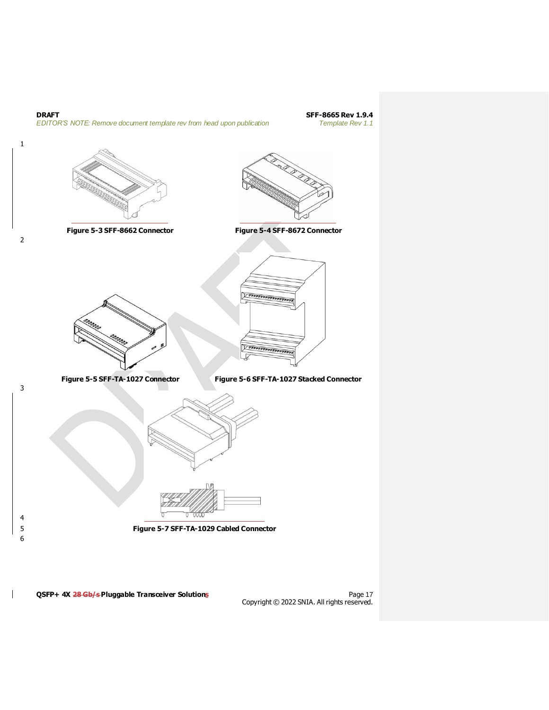![](_page_16_Figure_0.jpeg)

<span id="page-16-4"></span>QSFP+ 4X 28 Gb/s Pluggable Transceiver Solutions

<span id="page-16-3"></span>Page 17<br>Copyright © 2022 SNIA. All rights reserved.

<span id="page-16-2"></span><span id="page-16-1"></span><span id="page-16-0"></span>2

 $\mathbf{I}$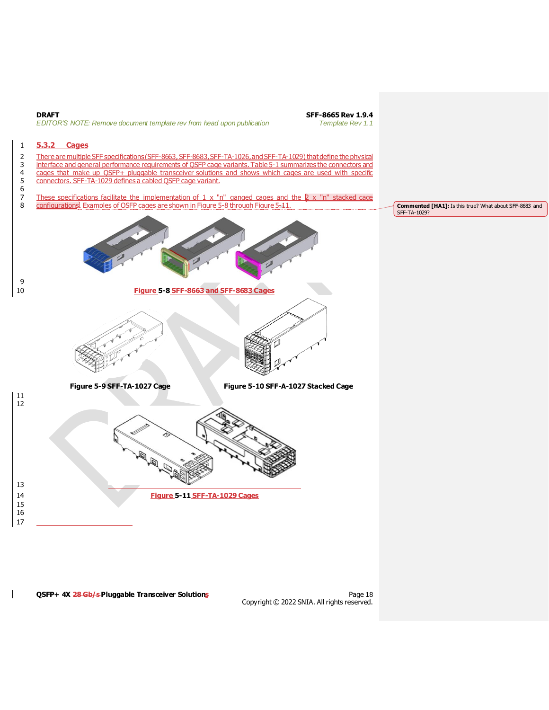<span id="page-17-1"></span><span id="page-17-0"></span>![](_page_17_Figure_0.jpeg)

<span id="page-17-4"></span><span id="page-17-3"></span><span id="page-17-2"></span>**QSFP+ 4X 28 Gb/s Pluggable Transceiver Solutions Page 18** Page 18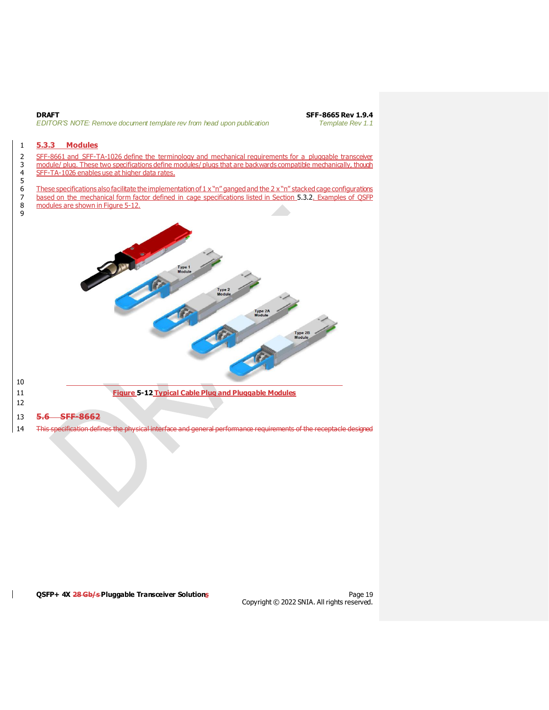![](_page_18_Figure_0.jpeg)

### <span id="page-18-0"></span>1 **5.3.3 Modules**

2 SFF-8661 and SFF-TA-1026 define the terminology and mechanical requirements for a pluggable transceiver 3 module/ plug. These two specifications define modules/ plugs that are backwards compatible mechanically, though

4 SFF-TA-1026 enables use at higher data rates.

5  $\frac{6}{7}$  These specifications also facilitate the implementation of 1 x "n" ganged and the 2 x "n" stacked cage configurations<br>These on the mechanical form factor defined in cage specifications listed in Section 5.3.2. E 7 based on the mechanical form factor defined in cage specifications listed in Sectio[n 5.3.2](#page-17-0). Examples of OSFP modules are shown in Figure 5-12.

modules are shown i[n Figure 5-12](#page-18-1).

![](_page_18_Figure_7.jpeg)

- <span id="page-18-1"></span>
- 12

 $\mathsf{l}$ 

13 **5.6 SFF-8662**

14 This specification defines the physical interface and general performance requirements of the receptacle designed

#### **QSFP+ 4X 28 Gb/s Pluggable Transceiver Solutions Page 19** Page 19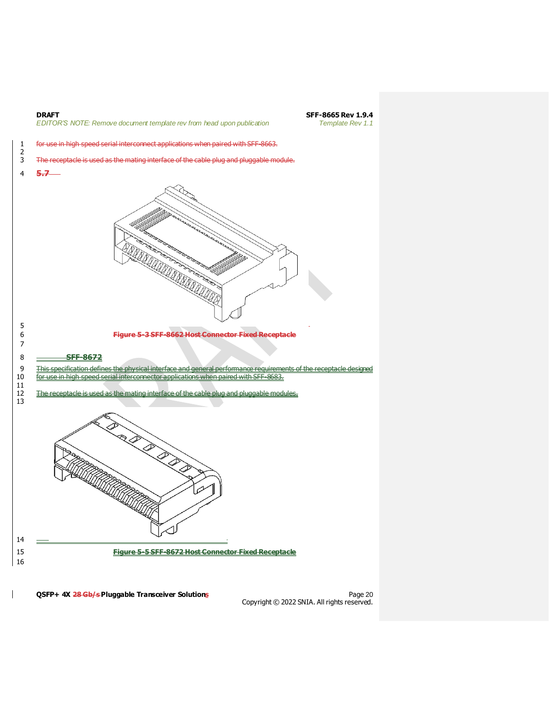![](_page_19_Figure_0.jpeg)

**QSFP+ 4X 28 Gb/s Pluggable Transceiver Solutions** Page 20 Page 20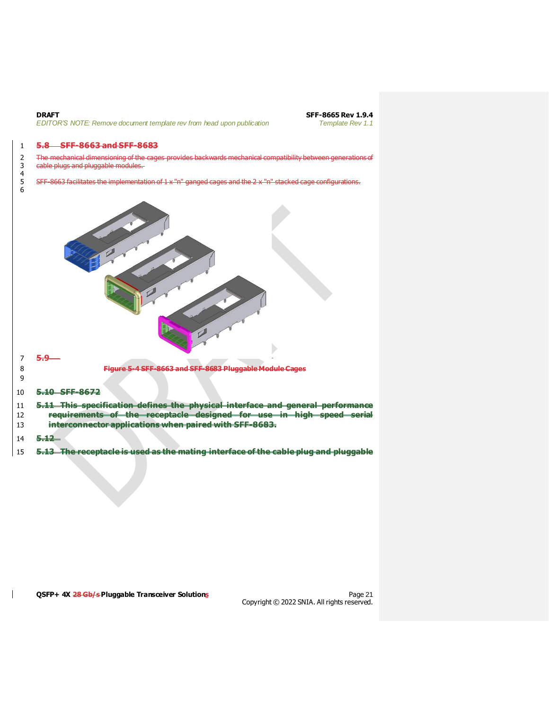$\frac{4}{5}$ 

6

**DRAFT SFF-8665 Rev 1.9.4**<br>**EDITOR'S NOTE: Remove document template rev from head upon publication SFF-8665 Rev 1.1** *EDITOR'S NOTE: Remove document template rev from head upon publication* 

#### 1 **5.8 SFF-8663 and SFF-8683**

2 The mechanical dimensioning of the cages provides backwards mechanical compatibility between generations of<br>3 eable plugs and pluggable modules. cable plugs and pluggable modules.

SFF-8663 facilitates the implementation of 1 x "n" ganged cages and the 2 x "n" stacked cage configurations.

![](_page_20_Picture_6.jpeg)

- 13 **interconnector applications when paired with SFF-8683.**
- 14 **5.12**

 $\mathsf{l}$ 

15 **5.13 The receptacle is used as the mating interface of the cable plug and pluggable** 

**QSFP+ 4X 28 Gb/s Pluggable Transceiver Solutions** Page 21